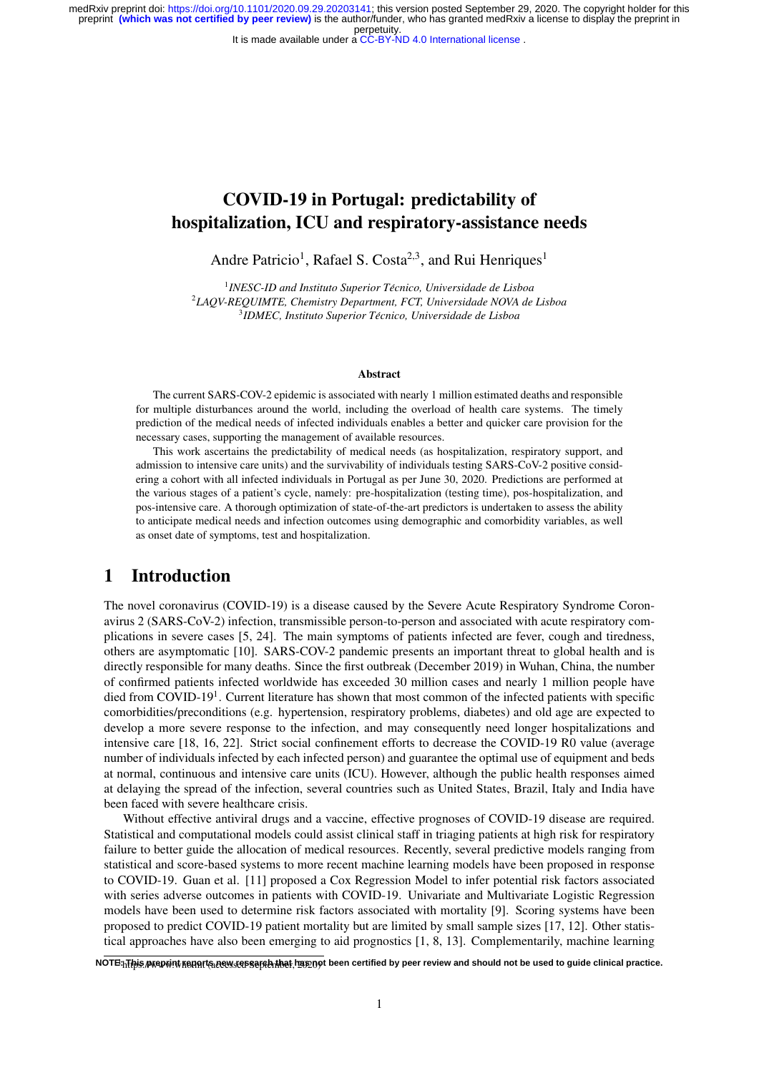It is made available under a CC-BY-ND 4.0 International license.

# COVID-19 in Portugal: predictability of hospitalization, ICU and respiratory-assistance needs

Andre Patricio<sup>1</sup>, Rafael S. Costa<sup>2,3</sup>, and Rui Henriques<sup>1</sup>

<sup>1</sup> INESC-ID and Instituto Superior Técnico, Universidade de Lisboa 2 *LAQV-REQUIMTE, Chemistry Department, FCT, Universidade NOVA de Lisboa* 3 *IDMEC, Instituto Superior Tecnico, Universidade de Lisboa ´*

#### Abstract

The current SARS-COV-2 epidemic is associated with nearly 1 million estimated deaths and responsible for multiple disturbances around the world, including the overload of health care systems. The timely prediction of the medical needs of infected individuals enables a better and quicker care provision for the necessary cases, supporting the management of available resources.

This work ascertains the predictability of medical needs (as hospitalization, respiratory support, and admission to intensive care units) and the survivability of individuals testing SARS-CoV-2 positive considering a cohort with all infected individuals in Portugal as per June 30, 2020. Predictions are performed at the various stages of a patient's cycle, namely: pre-hospitalization (testing time), pos-hospitalization, and pos-intensive care. A thorough optimization of state-of-the-art predictors is undertaken to assess the ability to anticipate medical needs and infection outcomes using demographic and comorbidity variables, as well as onset date of symptoms, test and hospitalization.

### 1 Introduction

The novel coronavirus (COVID-19) is a disease caused by the Severe Acute Respiratory Syndrome Coronavirus 2 (SARS-CoV-2) infection, transmissible person-to-person and associated with acute respiratory complications in severe cases [5, 24]. The main symptoms of patients infected are fever, cough and tiredness, others are asymptomatic [10]. SARS-COV-2 pandemic presents an important threat to global health and is directly responsible for many deaths. Since the first outbreak (December 2019) in Wuhan, China, the number of confirmed patients infected worldwide has exceeded 30 million cases and nearly 1 million people have died from COVID-19<sup>1</sup>. Current literature has shown that most common of the infected patients with specific comorbidities/preconditions (e.g. hypertension, respiratory problems, diabetes) and old age are expected to develop a more severe response to the infection, and may consequently need longer hospitalizations and intensive care [18, 16, 22]. Strict social confinement efforts to decrease the COVID-19 R0 value (average number of individuals infected by each infected person) and guarantee the optimal use of equipment and beds at normal, continuous and intensive care units (ICU). However, although the public health responses aimed at delaying the spread of the infection, several countries such as United States, Brazil, Italy and India have been faced with severe healthcare crisis.

Without effective antiviral drugs and a vaccine, effective prognoses of COVID-19 disease are required. Statistical and computational models could assist clinical staff in triaging patients at high risk for respiratory failure to better guide the allocation of medical resources. Recently, several predictive models ranging from statistical and score-based systems to more recent machine learning models have been proposed in response to COVID-19. Guan et al. [11] proposed a Cox Regression Model to infer potential risk factors associated with series adverse outcomes in patients with COVID-19. Univariate and Multivariate Logistic Regression models have been used to determine risk factors associated with mortality [9]. Scoring systems have been proposed to predict COVID-19 patient mortality but are limited by small sample sizes [17, 12]. Other statistical approaches have also been emerging to aid prognostics [1, 8, 13]. Complementarily, machine learning

NOTE:<sub>ከ</sub>[[pis praprint repart{a.rew {epsape}}}\hat has not been certified by peer review and should not be used to guide clinical practice.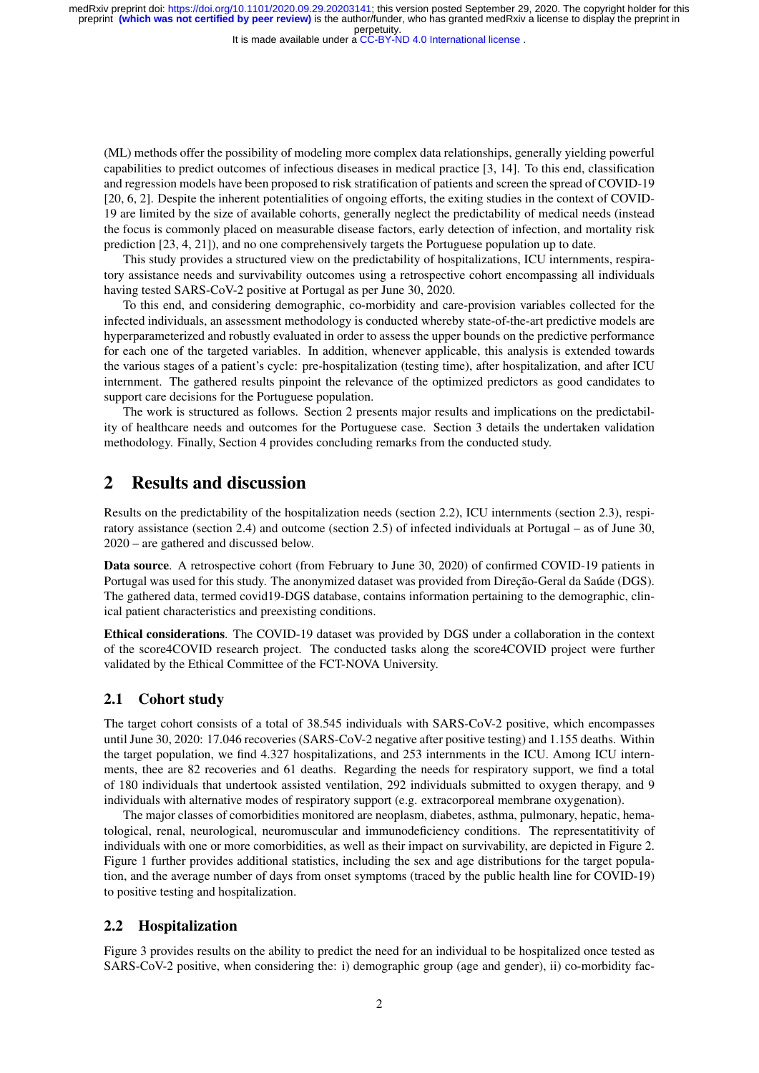It is made available under a CC-BY-ND 4.0 International license.

(ML) methods offer the possibility of modeling more complex data relationships, generally yielding powerful capabilities to predict outcomes of infectious diseases in medical practice [3, 14]. To this end, classification and regression models have been proposed to risk stratification of patients and screen the spread of COVID-19 [20, 6, 2]. Despite the inherent potentialities of ongoing efforts, the exiting studies in the context of COVID-19 are limited by the size of available cohorts, generally neglect the predictability of medical needs (instead the focus is commonly placed on measurable disease factors, early detection of infection, and mortality risk prediction [23, 4, 21]), and no one comprehensively targets the Portuguese population up to date.

This study provides a structured view on the predictability of hospitalizations, ICU internments, respiratory assistance needs and survivability outcomes using a retrospective cohort encompassing all individuals having tested SARS-CoV-2 positive at Portugal as per June 30, 2020.

To this end, and considering demographic, co-morbidity and care-provision variables collected for the infected individuals, an assessment methodology is conducted whereby state-of-the-art predictive models are hyperparameterized and robustly evaluated in order to assess the upper bounds on the predictive performance for each one of the targeted variables. In addition, whenever applicable, this analysis is extended towards the various stages of a patient's cycle: pre-hospitalization (testing time), after hospitalization, and after ICU internment. The gathered results pinpoint the relevance of the optimized predictors as good candidates to support care decisions for the Portuguese population.

The work is structured as follows. Section 2 presents major results and implications on the predictability of healthcare needs and outcomes for the Portuguese case. Section 3 details the undertaken validation methodology. Finally, Section 4 provides concluding remarks from the conducted study.

### 2 Results and discussion

Results on the predictability of the hospitalization needs (section 2.2), ICU internments (section 2.3), respiratory assistance (section 2.4) and outcome (section 2.5) of infected individuals at Portugal – as of June 30, 2020 – are gathered and discussed below.

Data source. A retrospective cohort (from February to June 30, 2020) of confirmed COVID-19 patients in Portugal was used for this study. The anonymized dataset was provided from Direção-Geral da Saúde (DGS). The gathered data, termed covid19-DGS database, contains information pertaining to the demographic, clinical patient characteristics and preexisting conditions.

Ethical considerations. The COVID-19 dataset was provided by DGS under a collaboration in the context of the score4COVID research project. The conducted tasks along the score4COVID project were further validated by the Ethical Committee of the FCT-NOVA University.

#### 2.1 Cohort study

The target cohort consists of a total of 38.545 individuals with SARS-CoV-2 positive, which encompasses until June 30, 2020: 17.046 recoveries (SARS-CoV-2 negative after positive testing) and 1.155 deaths. Within the target population, we find 4.327 hospitalizations, and 253 internments in the ICU. Among ICU internments, thee are 82 recoveries and 61 deaths. Regarding the needs for respiratory support, we find a total of 180 individuals that undertook assisted ventilation, 292 individuals submitted to oxygen therapy, and 9 individuals with alternative modes of respiratory support (e.g. extracorporeal membrane oxygenation).

The major classes of comorbidities monitored are neoplasm, diabetes, asthma, pulmonary, hepatic, hematological, renal, neurological, neuromuscular and immunodeficiency conditions. The representatitivity of individuals with one or more comorbidities, as well as their impact on survivability, are depicted in Figure 2. Figure 1 further provides additional statistics, including the sex and age distributions for the target population, and the average number of days from onset symptoms (traced by the public health line for COVID-19) to positive testing and hospitalization.

#### 2.2 Hospitalization

Figure 3 provides results on the ability to predict the need for an individual to be hospitalized once tested as SARS-CoV-2 positive, when considering the: i) demographic group (age and gender), ii) co-morbidity fac-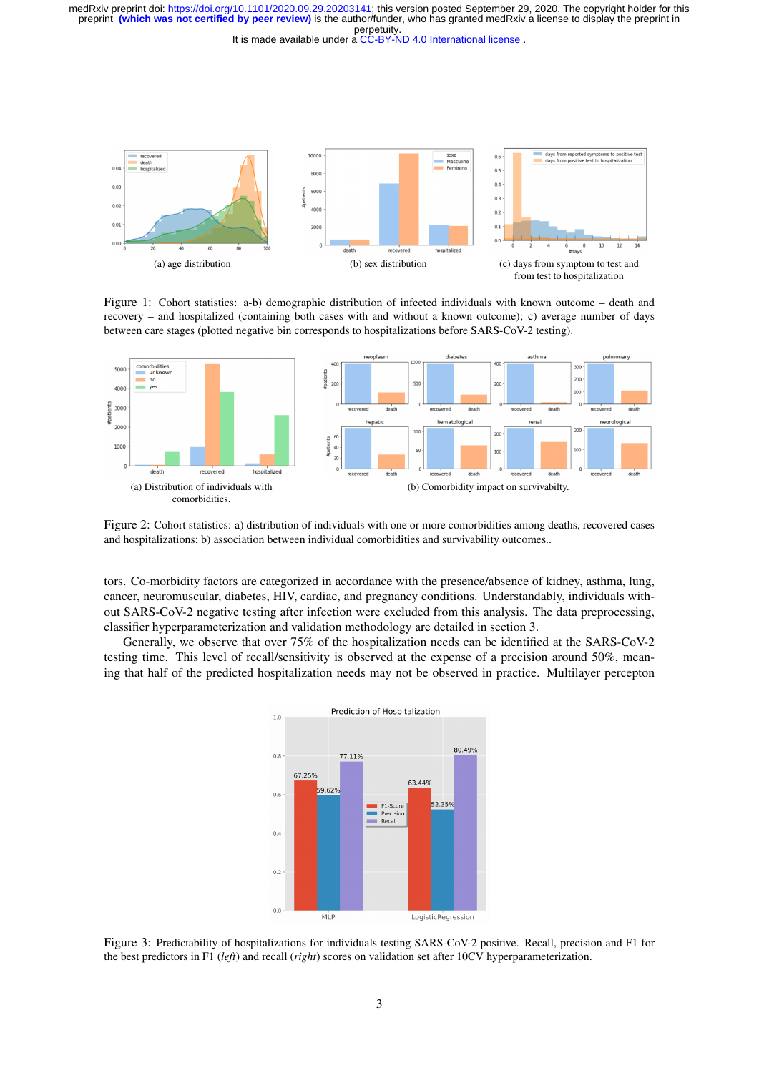It is made available under a CC-BY-ND 4.0 International license.



Figure 1: Cohort statistics: a-b) demographic distribution of infected individuals with known outcome – death and recovery – and hospitalized (containing both cases with and without a known outcome); c) average number of days between care stages (plotted negative bin corresponds to hospitalizations before SARS-CoV-2 testing).



Figure 2: Cohort statistics: a) distribution of individuals with one or more comorbidities among deaths, recovered cases and hospitalizations; b) association between individual comorbidities and survivability outcomes..

tors. Co-morbidity factors are categorized in accordance with the presence/absence of kidney, asthma, lung, cancer, neuromuscular, diabetes, HIV, cardiac, and pregnancy conditions. Understandably, individuals without SARS-CoV-2 negative testing after infection were excluded from this analysis. The data preprocessing, classifier hyperparameterization and validation methodology are detailed in section 3.

Generally, we observe that over 75% of the hospitalization needs can be identified at the SARS-CoV-2 testing time. This level of recall/sensitivity is observed at the expense of a precision around 50%, meaning that half of the predicted hospitalization needs may not be observed in practice. Multilayer percepton



Figure 3: Predictability of hospitalizations for individuals testing SARS-CoV-2 positive. Recall, precision and F1 for the best predictors in F1 (*left*) and recall (*right*) scores on validation set after 10CV hyperparameterization.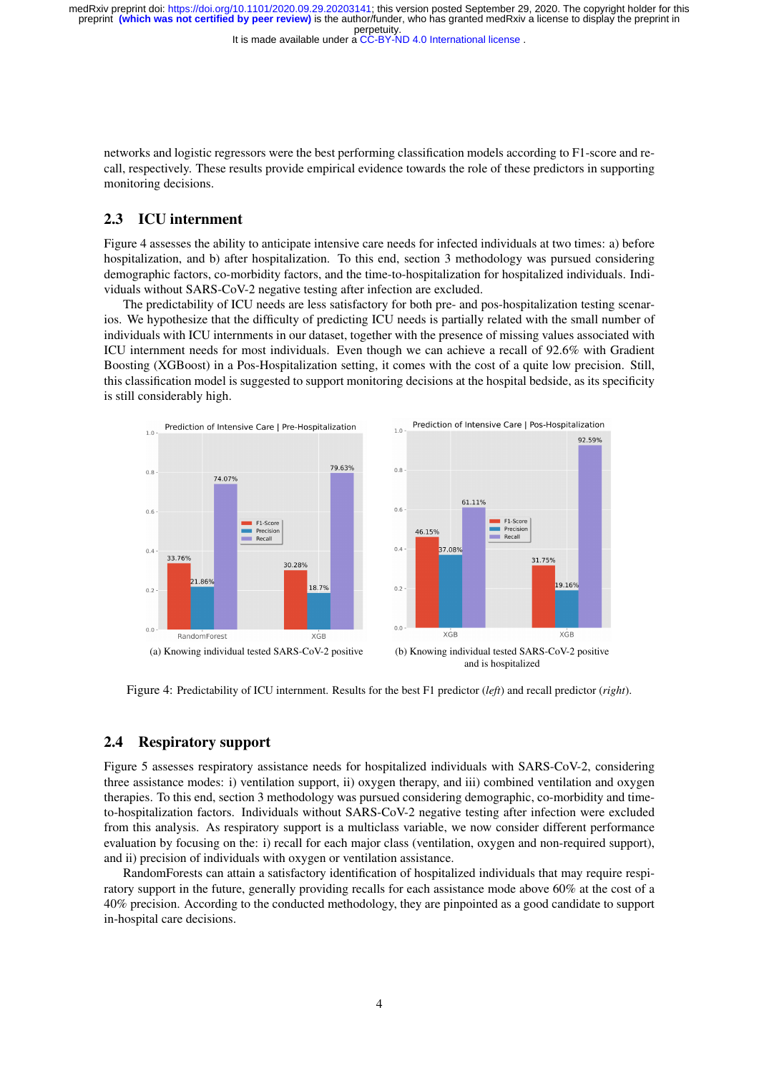It is made available under a CC-BY-ND 4.0 International license.

networks and logistic regressors were the best performing classification models according to F1-score and recall, respectively. These results provide empirical evidence towards the role of these predictors in supporting monitoring decisions.

### 2.3 ICU internment

Figure 4 assesses the ability to anticipate intensive care needs for infected individuals at two times: a) before hospitalization, and b) after hospitalization. To this end, section 3 methodology was pursued considering demographic factors, co-morbidity factors, and the time-to-hospitalization for hospitalized individuals. Individuals without SARS-CoV-2 negative testing after infection are excluded.

The predictability of ICU needs are less satisfactory for both pre- and pos-hospitalization testing scenarios. We hypothesize that the difficulty of predicting ICU needs is partially related with the small number of individuals with ICU internments in our dataset, together with the presence of missing values associated with ICU internment needs for most individuals. Even though we can achieve a recall of 92.6% with Gradient Boosting (XGBoost) in a Pos-Hospitalization setting, it comes with the cost of a quite low precision. Still, this classification model is suggested to support monitoring decisions at the hospital bedside, as its specificity is still considerably high.





Figure 4: Predictability of ICU internment. Results for the best F1 predictor (*left*) and recall predictor (*right*).

#### 2.4 Respiratory support

Figure 5 assesses respiratory assistance needs for hospitalized individuals with SARS-CoV-2, considering three assistance modes: i) ventilation support, ii) oxygen therapy, and iii) combined ventilation and oxygen therapies. To this end, section 3 methodology was pursued considering demographic, co-morbidity and timeto-hospitalization factors. Individuals without SARS-CoV-2 negative testing after infection were excluded from this analysis. As respiratory support is a multiclass variable, we now consider different performance evaluation by focusing on the: i) recall for each major class (ventilation, oxygen and non-required support), and ii) precision of individuals with oxygen or ventilation assistance.

RandomForests can attain a satisfactory identification of hospitalized individuals that may require respiratory support in the future, generally providing recalls for each assistance mode above 60% at the cost of a 40% precision. According to the conducted methodology, they are pinpointed as a good candidate to support in-hospital care decisions.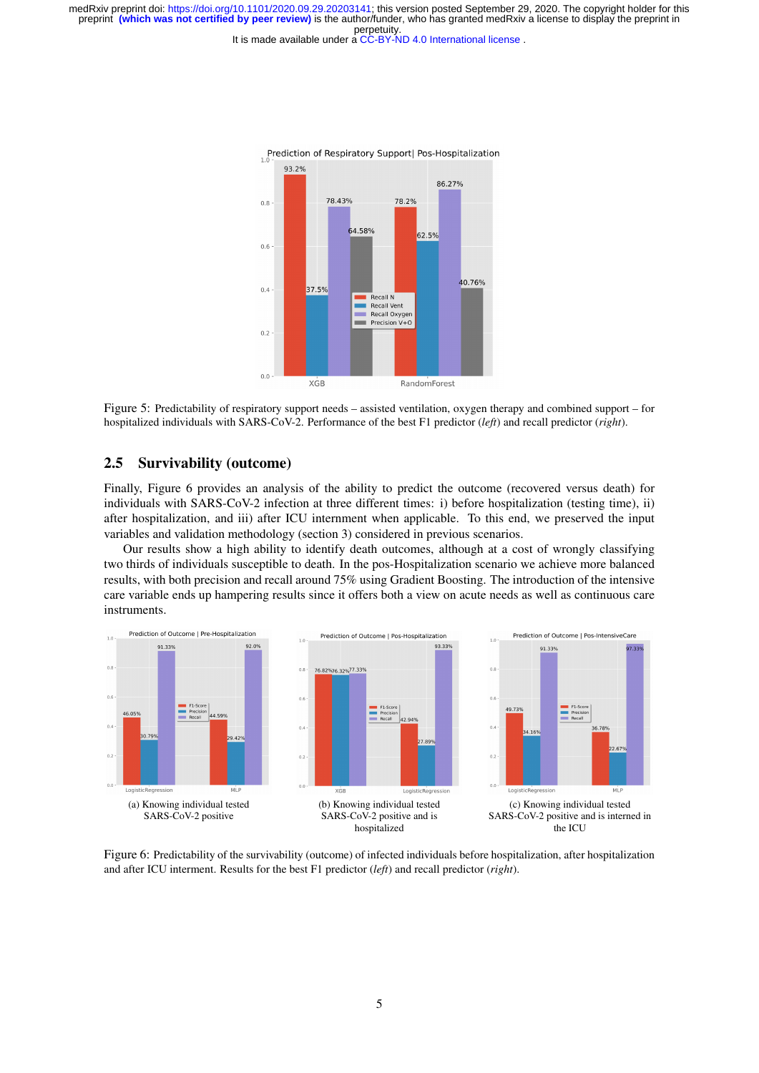It is made available under a CC-BY-ND 4.0 International license.





#### 2.5 Survivability (outcome)

Finally, Figure 6 provides an analysis of the ability to predict the outcome (recovered versus death) for individuals with SARS-CoV-2 infection at three different times: i) before hospitalization (testing time), ii) after hospitalization, and iii) after ICU internment when applicable. To this end, we preserved the input variables and validation methodology (section 3) considered in previous scenarios.

Our results show a high ability to identify death outcomes, although at a cost of wrongly classifying two thirds of individuals susceptible to death. In the pos-Hospitalization scenario we achieve more balanced results, with both precision and recall around 75% using Gradient Boosting. The introduction of the intensive care variable ends up hampering results since it offers both a view on acute needs as well as continuous care instruments.



Figure 6: Predictability of the survivability (outcome) of infected individuals before hospitalization, after hospitalization and after ICU interment. Results for the best F1 predictor (*left*) and recall predictor (*right*).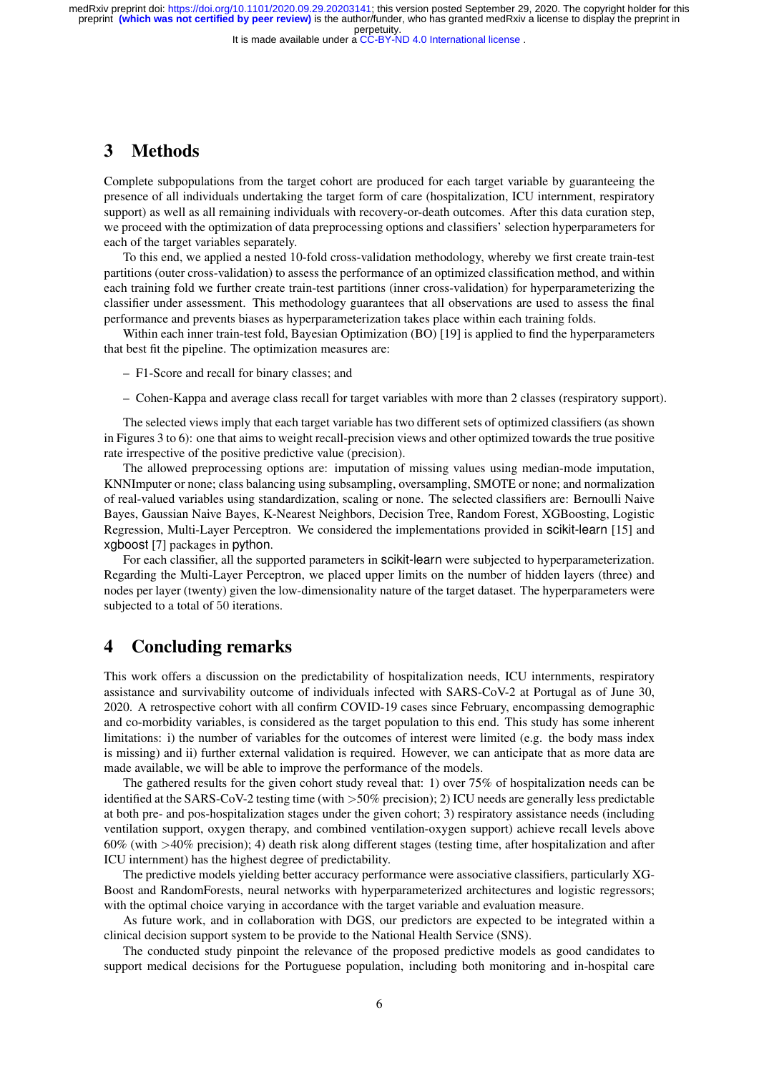It is made available under a CC-BY-ND 4.0 International license.

### 3 Methods

Complete subpopulations from the target cohort are produced for each target variable by guaranteeing the presence of all individuals undertaking the target form of care (hospitalization, ICU internment, respiratory support) as well as all remaining individuals with recovery-or-death outcomes. After this data curation step, we proceed with the optimization of data preprocessing options and classifiers' selection hyperparameters for each of the target variables separately.

To this end, we applied a nested 10-fold cross-validation methodology, whereby we first create train-test partitions (outer cross-validation) to assess the performance of an optimized classification method, and within each training fold we further create train-test partitions (inner cross-validation) for hyperparameterizing the classifier under assessment. This methodology guarantees that all observations are used to assess the final performance and prevents biases as hyperparameterization takes place within each training folds.

Within each inner train-test fold, Bayesian Optimization (BO) [19] is applied to find the hyperparameters that best fit the pipeline. The optimization measures are:

- F1-Score and recall for binary classes; and
- Cohen-Kappa and average class recall for target variables with more than 2 classes (respiratory support).

The selected views imply that each target variable has two different sets of optimized classifiers (as shown in Figures 3 to 6): one that aims to weight recall-precision views and other optimized towards the true positive rate irrespective of the positive predictive value (precision).

The allowed preprocessing options are: imputation of missing values using median-mode imputation, KNNImputer or none; class balancing using subsampling, oversampling, SMOTE or none; and normalization of real-valued variables using standardization, scaling or none. The selected classifiers are: Bernoulli Naive Bayes, Gaussian Naive Bayes, K-Nearest Neighbors, Decision Tree, Random Forest, XGBoosting, Logistic Regression, Multi-Layer Perceptron. We considered the implementations provided in scikit-learn [15] and xgboost [7] packages in python.

For each classifier, all the supported parameters in scikit-learn were subjected to hyperparameterization. Regarding the Multi-Layer Perceptron, we placed upper limits on the number of hidden layers (three) and nodes per layer (twenty) given the low-dimensionality nature of the target dataset. The hyperparameters were subjected to a total of 50 iterations.

### 4 Concluding remarks

This work offers a discussion on the predictability of hospitalization needs, ICU internments, respiratory assistance and survivability outcome of individuals infected with SARS-CoV-2 at Portugal as of June 30, 2020. A retrospective cohort with all confirm COVID-19 cases since February, encompassing demographic and co-morbidity variables, is considered as the target population to this end. This study has some inherent limitations: i) the number of variables for the outcomes of interest were limited (e.g. the body mass index is missing) and ii) further external validation is required. However, we can anticipate that as more data are made available, we will be able to improve the performance of the models.

The gathered results for the given cohort study reveal that: 1) over 75% of hospitalization needs can be identified at the SARS-CoV-2 testing time (with >50% precision); 2) ICU needs are generally less predictable at both pre- and pos-hospitalization stages under the given cohort; 3) respiratory assistance needs (including ventilation support, oxygen therapy, and combined ventilation-oxygen support) achieve recall levels above 60% (with >40% precision); 4) death risk along different stages (testing time, after hospitalization and after ICU internment) has the highest degree of predictability.

The predictive models yielding better accuracy performance were associative classifiers, particularly XG-Boost and RandomForests, neural networks with hyperparameterized architectures and logistic regressors; with the optimal choice varying in accordance with the target variable and evaluation measure.

As future work, and in collaboration with DGS, our predictors are expected to be integrated within a clinical decision support system to be provide to the National Health Service (SNS).

The conducted study pinpoint the relevance of the proposed predictive models as good candidates to support medical decisions for the Portuguese population, including both monitoring and in-hospital care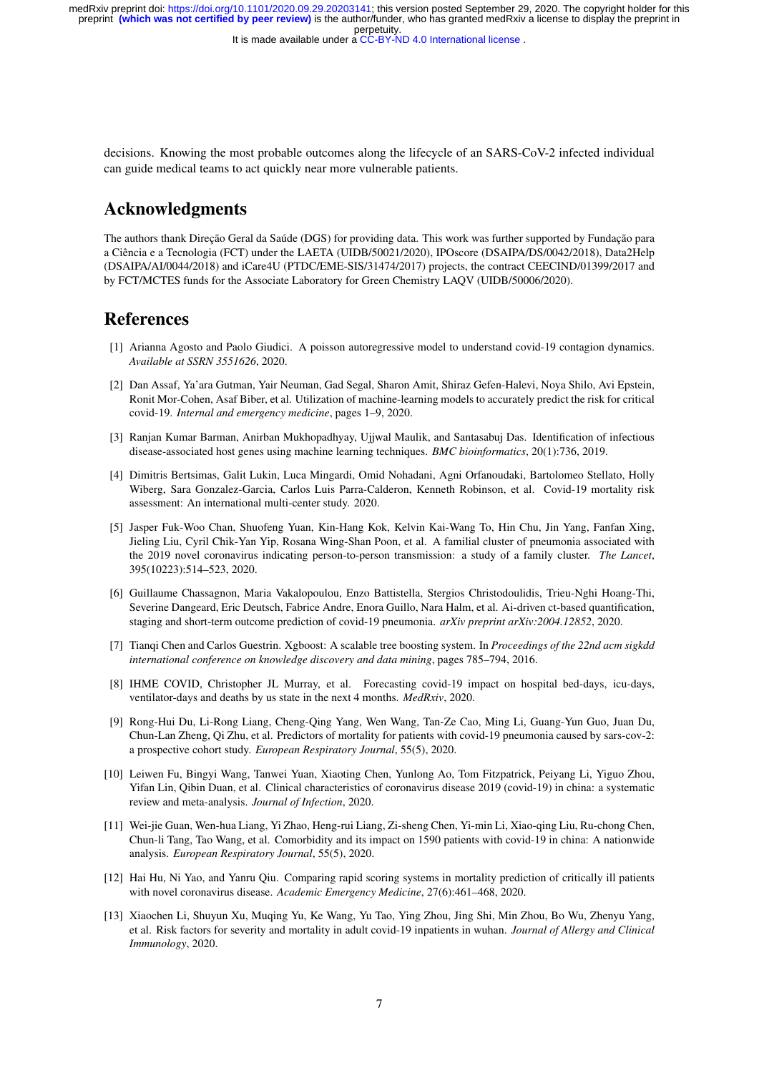It is made available under a CC-BY-ND 4.0 International license.

decisions. Knowing the most probable outcomes along the lifecycle of an SARS-CoV-2 infected individual can guide medical teams to act quickly near more vulnerable patients.

## Acknowledgments

The authors thank Direção Geral da Saúde (DGS) for providing data. This work was further supported by Fundação para a Ciência e a Tecnologia (FCT) under the LAETA (UIDB/50021/2020), IPOscore (DSAIPA/DS/0042/2018), Data2Help (DSAIPA/AI/0044/2018) and iCare4U (PTDC/EME-SIS/31474/2017) projects, the contract CEECIND/01399/2017 and by FCT/MCTES funds for the Associate Laboratory for Green Chemistry LAQV (UIDB/50006/2020).

### References

- [1] Arianna Agosto and Paolo Giudici. A poisson autoregressive model to understand covid-19 contagion dynamics. *Available at SSRN 3551626*, 2020.
- [2] Dan Assaf, Ya'ara Gutman, Yair Neuman, Gad Segal, Sharon Amit, Shiraz Gefen-Halevi, Noya Shilo, Avi Epstein, Ronit Mor-Cohen, Asaf Biber, et al. Utilization of machine-learning models to accurately predict the risk for critical covid-19. *Internal and emergency medicine*, pages 1–9, 2020.
- [3] Ranjan Kumar Barman, Anirban Mukhopadhyay, Ujjwal Maulik, and Santasabuj Das. Identification of infectious disease-associated host genes using machine learning techniques. *BMC bioinformatics*, 20(1):736, 2019.
- [4] Dimitris Bertsimas, Galit Lukin, Luca Mingardi, Omid Nohadani, Agni Orfanoudaki, Bartolomeo Stellato, Holly Wiberg, Sara Gonzalez-Garcia, Carlos Luis Parra-Calderon, Kenneth Robinson, et al. Covid-19 mortality risk assessment: An international multi-center study. 2020.
- [5] Jasper Fuk-Woo Chan, Shuofeng Yuan, Kin-Hang Kok, Kelvin Kai-Wang To, Hin Chu, Jin Yang, Fanfan Xing, Jieling Liu, Cyril Chik-Yan Yip, Rosana Wing-Shan Poon, et al. A familial cluster of pneumonia associated with the 2019 novel coronavirus indicating person-to-person transmission: a study of a family cluster. *The Lancet*, 395(10223):514–523, 2020.
- [6] Guillaume Chassagnon, Maria Vakalopoulou, Enzo Battistella, Stergios Christodoulidis, Trieu-Nghi Hoang-Thi, Severine Dangeard, Eric Deutsch, Fabrice Andre, Enora Guillo, Nara Halm, et al. Ai-driven ct-based quantification, staging and short-term outcome prediction of covid-19 pneumonia. *arXiv preprint arXiv:2004.12852*, 2020.
- [7] Tianqi Chen and Carlos Guestrin. Xgboost: A scalable tree boosting system. In *Proceedings of the 22nd acm sigkdd international conference on knowledge discovery and data mining*, pages 785–794, 2016.
- [8] IHME COVID, Christopher JL Murray, et al. Forecasting covid-19 impact on hospital bed-days, icu-days, ventilator-days and deaths by us state in the next 4 months. *MedRxiv*, 2020.
- [9] Rong-Hui Du, Li-Rong Liang, Cheng-Qing Yang, Wen Wang, Tan-Ze Cao, Ming Li, Guang-Yun Guo, Juan Du, Chun-Lan Zheng, Qi Zhu, et al. Predictors of mortality for patients with covid-19 pneumonia caused by sars-cov-2: a prospective cohort study. *European Respiratory Journal*, 55(5), 2020.
- [10] Leiwen Fu, Bingyi Wang, Tanwei Yuan, Xiaoting Chen, Yunlong Ao, Tom Fitzpatrick, Peiyang Li, Yiguo Zhou, Yifan Lin, Qibin Duan, et al. Clinical characteristics of coronavirus disease 2019 (covid-19) in china: a systematic review and meta-analysis. *Journal of Infection*, 2020.
- [11] Wei-jie Guan, Wen-hua Liang, Yi Zhao, Heng-rui Liang, Zi-sheng Chen, Yi-min Li, Xiao-qing Liu, Ru-chong Chen, Chun-li Tang, Tao Wang, et al. Comorbidity and its impact on 1590 patients with covid-19 in china: A nationwide analysis. *European Respiratory Journal*, 55(5), 2020.
- [12] Hai Hu, Ni Yao, and Yanru Qiu. Comparing rapid scoring systems in mortality prediction of critically ill patients with novel coronavirus disease. *Academic Emergency Medicine*, 27(6):461–468, 2020.
- [13] Xiaochen Li, Shuyun Xu, Muqing Yu, Ke Wang, Yu Tao, Ying Zhou, Jing Shi, Min Zhou, Bo Wu, Zhenyu Yang, et al. Risk factors for severity and mortality in adult covid-19 inpatients in wuhan. *Journal of Allergy and Clinical Immunology*, 2020.